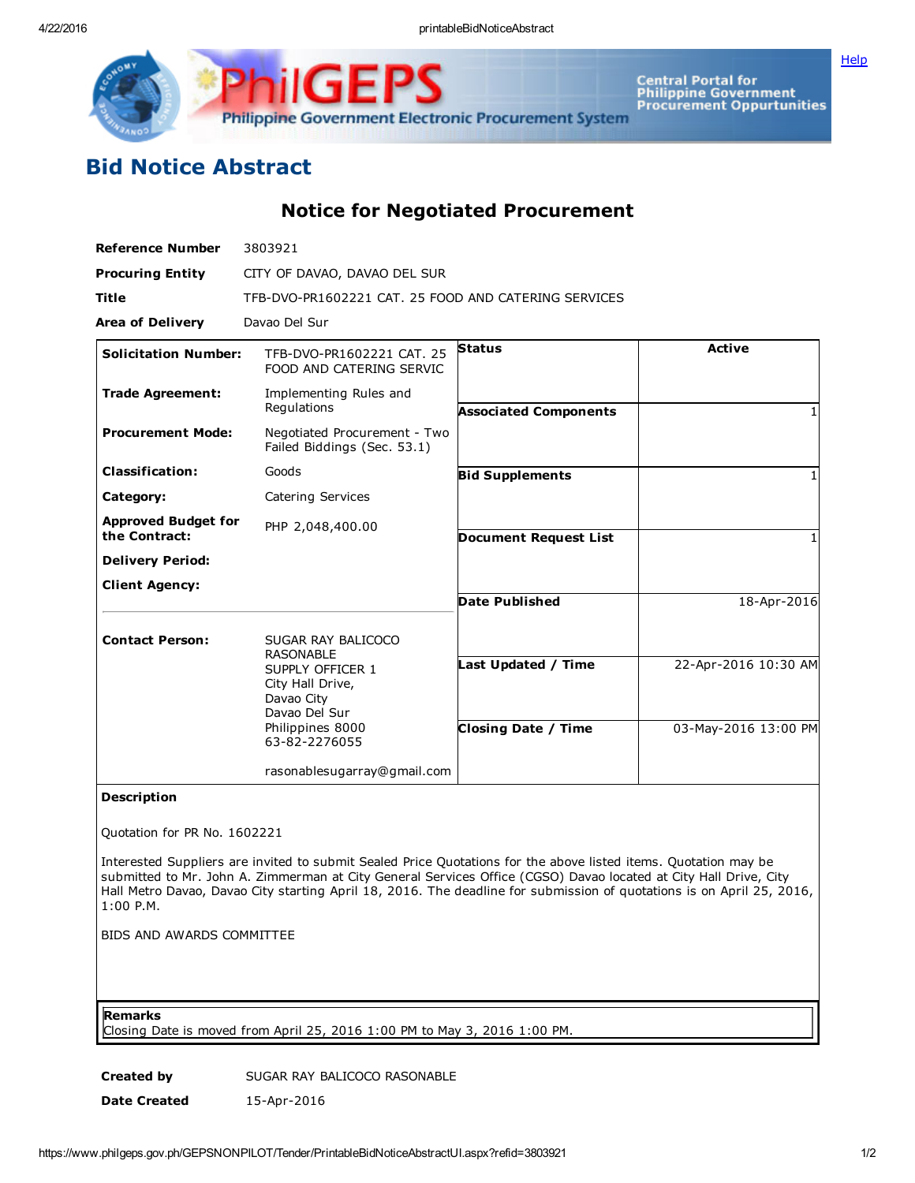

Central Portal for<br>Philippine Government<br>Procurement Oppurtunities Philippine Government Electronic Procurement System

## Bid Notice Abstract

Notice for Negotiated Procurement

GF

| <b>Reference Number</b>                     | 3803921                                                                                                                                            |                              |                      |
|---------------------------------------------|----------------------------------------------------------------------------------------------------------------------------------------------------|------------------------------|----------------------|
| <b>Procuring Entity</b>                     | CITY OF DAVAO, DAVAO DEL SUR                                                                                                                       |                              |                      |
| <b>Title</b>                                | TFB-DVO-PR1602221 CAT, 25 FOOD AND CATERING SERVICES                                                                                               |                              |                      |
| <b>Area of Delivery</b>                     | Davao Del Sur                                                                                                                                      |                              |                      |
| <b>Solicitation Number:</b>                 | TFB-DVO-PR1602221 CAT. 25<br>FOOD AND CATERING SERVIC                                                                                              | <b>Status</b>                | <b>Active</b>        |
| <b>Trade Agreement:</b>                     | Implementing Rules and<br>Regulations                                                                                                              | <b>Associated Components</b> |                      |
| <b>Procurement Mode:</b>                    | Negotiated Procurement - Two<br>Failed Biddings (Sec. 53.1)                                                                                        |                              |                      |
| <b>Classification:</b>                      | Goods                                                                                                                                              | <b>Bid Supplements</b>       |                      |
| Category:                                   | Catering Services                                                                                                                                  |                              |                      |
| <b>Approved Budget for</b><br>the Contract: | PHP 2,048,400.00                                                                                                                                   | <b>Document Request List</b> |                      |
| <b>Delivery Period:</b>                     |                                                                                                                                                    |                              |                      |
| <b>Client Agency:</b>                       |                                                                                                                                                    | Date Published               | 18-Apr-2016          |
| <b>Contact Person:</b>                      | SUGAR RAY BALICOCO<br><b>RASONABLE</b><br>SUPPLY OFFICER 1<br>City Hall Drive,<br>Davao City<br>Davao Del Sur<br>Philippines 8000<br>63-82-2276055 |                              |                      |
|                                             |                                                                                                                                                    | Last Updated / Time          | 22-Apr-2016 10:30 AM |
|                                             |                                                                                                                                                    | <b>Closing Date / Time</b>   | 03-May-2016 13:00 PM |
|                                             | rasonablesugarray@gmail.com                                                                                                                        |                              |                      |

## Description

Quotation for PR No. 1602221

Interested Suppliers are invited to submit Sealed Price Quotations for the above listed items. Quotation may be submitted to Mr. John A. Zimmerman at City General Services Office (CGSO) Davao located at City Hall Drive, City Hall Metro Davao, Davao City starting April 18, 2016. The deadline for submission of quotations is on April 25, 2016, 1:00 P.M.

BIDS AND AWARDS COMMITTEE

Remarks

Closing Date is moved from April 25, 2016 1:00 PM to May 3, 2016 1:00 PM.

Created by SUGAR RAY BALICOCO RASONABLE Date Created 15-Apr-2016